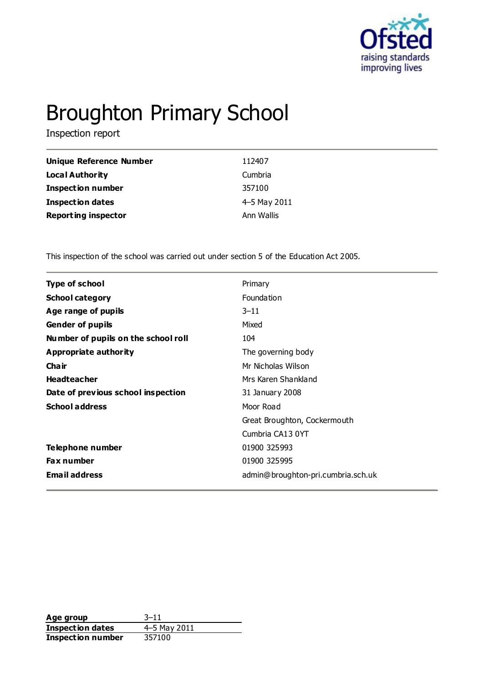

# Broughton Primary School

Inspection report

| Unique Reference Number    | 112407       |
|----------------------------|--------------|
| Local Authority            | Cumbria      |
| <b>Inspection number</b>   | 357100       |
| <b>Inspection dates</b>    | 4-5 May 2011 |
| <b>Reporting inspector</b> | Ann Wallis   |

This inspection of the school was carried out under section 5 of the Education Act 2005.

| <b>Type of school</b>               | Primary                            |
|-------------------------------------|------------------------------------|
| <b>School category</b>              | Foundation                         |
| Age range of pupils                 | $3 - 11$                           |
| <b>Gender of pupils</b>             | Mixed                              |
| Number of pupils on the school roll | 104                                |
| Appropriate authority               | The governing body                 |
| Cha ir                              | Mr Nicholas Wilson                 |
| <b>Headteacher</b>                  | Mrs Karen Shankland                |
| Date of previous school inspection  | 31 January 2008                    |
| <b>School address</b>               | Moor Road                          |
|                                     | Great Broughton, Cockermouth       |
|                                     | Cumbria CA13 0YT                   |
| Telephone number                    | 01900 325993                       |
| <b>Fax number</b>                   | 01900 325995                       |
| <b>Email address</b>                | admin@broughton-pri.cumbria.sch.uk |
|                                     |                                    |

**Age group** 3–11<br> **Inspection dates** 4–5 May 2011 **Inspection dates** 4–5 May<br>**Inspection number** 357100 **Inspection number**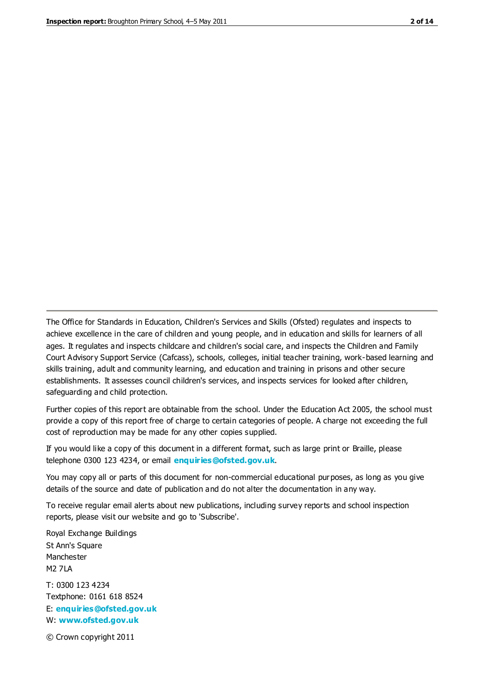The Office for Standards in Education, Children's Services and Skills (Ofsted) regulates and inspects to achieve excellence in the care of children and young people, and in education and skills for learners of all ages. It regulates and inspects childcare and children's social care, and inspects the Children and Family Court Advisory Support Service (Cafcass), schools, colleges, initial teacher training, work-based learning and skills training, adult and community learning, and education and training in prisons and other secure establishments. It assesses council children's services, and inspects services for looked after children, safeguarding and child protection.

Further copies of this report are obtainable from the school. Under the Education Act 2005, the school must provide a copy of this report free of charge to certain categories of people. A charge not exceeding the full cost of reproduction may be made for any other copies supplied.

If you would like a copy of this document in a different format, such as large print or Braille, please telephone 0300 123 4234, or email **[enquiries@ofsted.gov.uk](mailto:enquiries@ofsted.gov.uk)**.

You may copy all or parts of this document for non-commercial educational purposes, as long as you give details of the source and date of publication and do not alter the documentation in any way.

To receive regular email alerts about new publications, including survey reports and school inspection reports, please visit our website and go to 'Subscribe'.

Royal Exchange Buildings St Ann's Square Manchester M2 7LA T: 0300 123 4234 Textphone: 0161 618 8524 E: **[enquiries@ofsted.gov.uk](mailto:enquiries@ofsted.gov.uk)**

W: **[www.ofsted.gov.uk](http://www.ofsted.gov.uk/)**

© Crown copyright 2011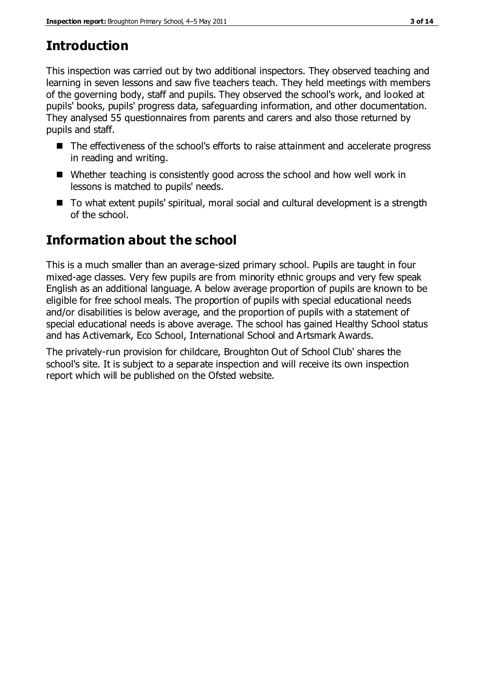# **Introduction**

This inspection was carried out by two additional inspectors. They observed teaching and learning in seven lessons and saw five teachers teach. They held meetings with members of the governing body, staff and pupils. They observed the school's work, and looked at pupils' books, pupils' progress data, safeguarding information, and other documentation. They analysed 55 questionnaires from parents and carers and also those returned by pupils and staff.

- The effectiveness of the school's efforts to raise attainment and accelerate progress in reading and writing.
- Whether teaching is consistently good across the school and how well work in lessons is matched to pupils' needs.
- To what extent pupils' spiritual, moral social and cultural development is a strength of the school.

## **Information about the school**

This is a much smaller than an average-sized primary school. Pupils are taught in four mixed-age classes. Very few pupils are from minority ethnic groups and very few speak English as an additional language. A below average proportion of pupils are known to be eligible for free school meals. The proportion of pupils with special educational needs and/or disabilities is below average, and the proportion of pupils with a statement of special educational needs is above average. The school has gained Healthy School status and has Activemark, Eco School, International School and Artsmark Awards.

The privately-run provision for childcare, Broughton Out of School Club' shares the school's site. It is subject to a separate inspection and will receive its own inspection report which will be published on the Ofsted website.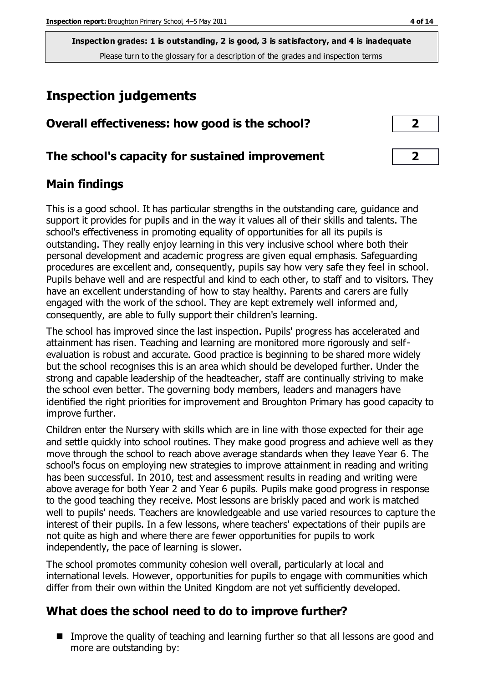**Inspection grades: 1 is outstanding, 2 is good, 3 is satisfactory, and 4 is inadequate** Please turn to the glossary for a description of the grades and inspection terms

# **Inspection judgements**

|  | Overall effectiveness: how good is the school? |  |  |  |  |
|--|------------------------------------------------|--|--|--|--|
|--|------------------------------------------------|--|--|--|--|

#### **The school's capacity for sustained improvement 2**

#### **Main findings**

This is a good school. It has particular strengths in the outstanding care, guidance and support it provides for pupils and in the way it values all of their skills and talents. The school's effectiveness in promoting equality of opportunities for all its pupils is outstanding. They really enjoy learning in this very inclusive school where both their personal development and academic progress are given equal emphasis. Safeguarding procedures are excellent and, consequently, pupils say how very safe they feel in school. Pupils behave well and are respectful and kind to each other, to staff and to visitors. They have an excellent understanding of how to stay healthy. Parents and carers are fully engaged with the work of the school. They are kept extremely well informed and, consequently, are able to fully support their children's learning.

The school has improved since the last inspection. Pupils' progress has accelerated and attainment has risen. Teaching and learning are monitored more rigorously and selfevaluation is robust and accurate. Good practice is beginning to be shared more widely but the school recognises this is an area which should be developed further. Under the strong and capable leadership of the headteacher, staff are continually striving to make the school even better. The governing body members, leaders and managers have identified the right priorities for improvement and Broughton Primary has good capacity to improve further.

Children enter the Nursery with skills which are in line with those expected for their age and settle quickly into school routines. They make good progress and achieve well as they move through the school to reach above average standards when they leave Year 6. The school's focus on employing new strategies to improve attainment in reading and writing has been successful. In 2010, test and assessment results in reading and writing were above average for both Year 2 and Year 6 pupils. Pupils make good progress in response to the good teaching they receive. Most lessons are briskly paced and work is matched well to pupils' needs. Teachers are knowledgeable and use varied resources to capture the interest of their pupils. In a few lessons, where teachers' expectations of their pupils are not quite as high and where there are fewer opportunities for pupils to work independently, the pace of learning is slower.

The school promotes community cohesion well overall, particularly at local and international levels. However, opportunities for pupils to engage with communities which differ from their own within the United Kingdom are not yet sufficiently developed.

#### **What does the school need to do to improve further?**

■ Improve the quality of teaching and learning further so that all lessons are good and more are outstanding by: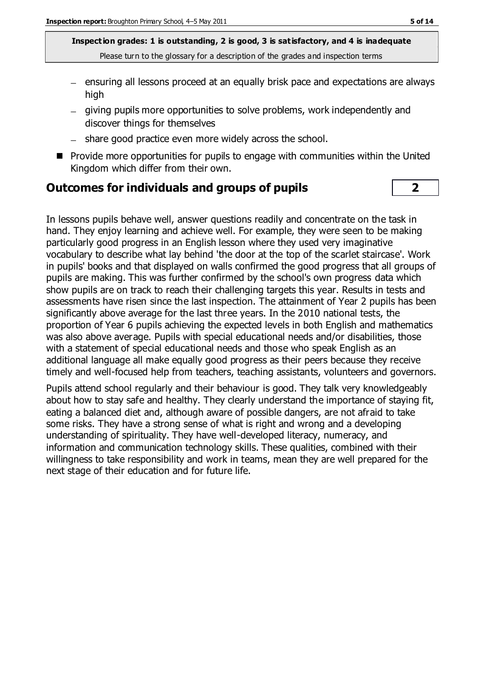**Inspection grades: 1 is outstanding, 2 is good, 3 is satisfactory, and 4 is inadequate** Please turn to the glossary for a description of the grades and inspection terms

- ensuring all lessons proceed at an equally brisk pace and expectations are always high
- giving pupils more opportunities to solve problems, work independently and discover things for themselves
- share good practice even more widely across the school.
- $\blacksquare$  Provide more opportunities for pupils to engage with communities within the United Kingdom which differ from their own.

#### **Outcomes for individuals and groups of pupils 2**

In lessons pupils behave well, answer questions readily and concentrate on the task in hand. They enjoy learning and achieve well. For example, they were seen to be making particularly good progress in an English lesson where they used very imaginative vocabulary to describe what lay behind 'the door at the top of the scarlet staircase'. Work in pupils' books and that displayed on walls confirmed the good progress that all groups of pupils are making. This was further confirmed by the school's own progress data which show pupils are on track to reach their challenging targets this year. Results in tests and assessments have risen since the last inspection. The attainment of Year 2 pupils has been significantly above average for the last three years. In the 2010 national tests, the proportion of Year 6 pupils achieving the expected levels in both English and mathematics was also above average. Pupils with special educational needs and/or disabilities, those with a statement of special educational needs and those who speak English as an additional language all make equally good progress as their peers because they receive timely and well-focused help from teachers, teaching assistants, volunteers and governors.

Pupils attend school regularly and their behaviour is good. They talk very knowledgeably about how to stay safe and healthy. They clearly understand the importance of staying fit, eating a balanced diet and, although aware of possible dangers, are not afraid to take some risks. They have a strong sense of what is right and wrong and a developing understanding of spirituality. They have well-developed literacy, numeracy, and information and communication technology skills. These qualities, combined with their willingness to take responsibility and work in teams, mean they are well prepared for the next stage of their education and for future life.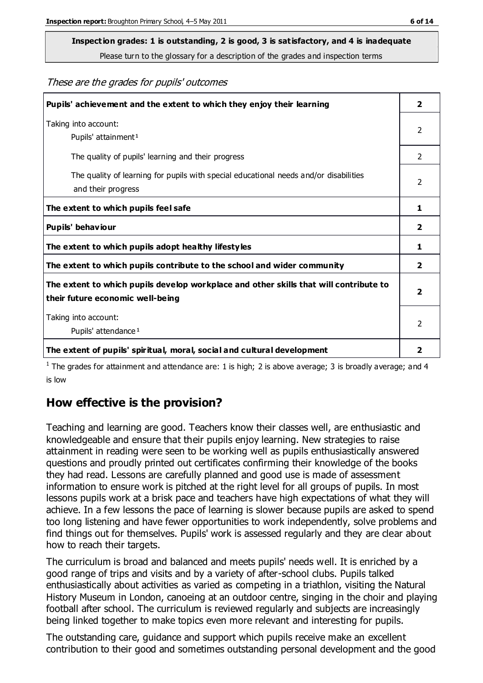Please turn to the glossary for a description of the grades and inspection terms

These are the grades for pupils' outcomes

| Pupils' achievement and the extent to which they enjoy their learning                                                     | $\overline{2}$          |
|---------------------------------------------------------------------------------------------------------------------------|-------------------------|
| Taking into account:<br>Pupils' attainment <sup>1</sup>                                                                   | 2                       |
| The quality of pupils' learning and their progress                                                                        | $\mathcal{P}$           |
| The quality of learning for pupils with special educational needs and/or disabilities<br>and their progress               | 2                       |
| The extent to which pupils feel safe                                                                                      | 1                       |
| Pupils' behaviour                                                                                                         | 2                       |
| The extent to which pupils adopt healthy lifestyles                                                                       | 1                       |
| The extent to which pupils contribute to the school and wider community                                                   | $\mathbf{2}$            |
| The extent to which pupils develop workplace and other skills that will contribute to<br>their future economic well-being | $\overline{\mathbf{2}}$ |
| Taking into account:<br>Pupils' attendance <sup>1</sup>                                                                   | $\mathcal{P}$           |
| The extent of pupils' spiritual, moral, social and cultural development                                                   | 2                       |

<sup>1</sup> The grades for attainment and attendance are: 1 is high; 2 is above average; 3 is broadly average; and 4 is low

#### **How effective is the provision?**

Teaching and learning are good. Teachers know their classes well, are enthusiastic and knowledgeable and ensure that their pupils enjoy learning. New strategies to raise attainment in reading were seen to be working well as pupils enthusiastically answered questions and proudly printed out certificates confirming their knowledge of the books they had read. Lessons are carefully planned and good use is made of assessment information to ensure work is pitched at the right level for all groups of pupils. In most lessons pupils work at a brisk pace and teachers have high expectations of what they will achieve. In a few lessons the pace of learning is slower because pupils are asked to spend too long listening and have fewer opportunities to work independently, solve problems and find things out for themselves. Pupils' work is assessed regularly and they are clear about how to reach their targets.

The curriculum is broad and balanced and meets pupils' needs well. It is enriched by a good range of trips and visits and by a variety of after-school clubs. Pupils talked enthusiastically about activities as varied as competing in a triathlon, visiting the Natural History Museum in London, canoeing at an outdoor centre, singing in the choir and playing football after school. The curriculum is reviewed regularly and subjects are increasingly being linked together to make topics even more relevant and interesting for pupils.

The outstanding care, guidance and support which pupils receive make an excellent contribution to their good and sometimes outstanding personal development and the good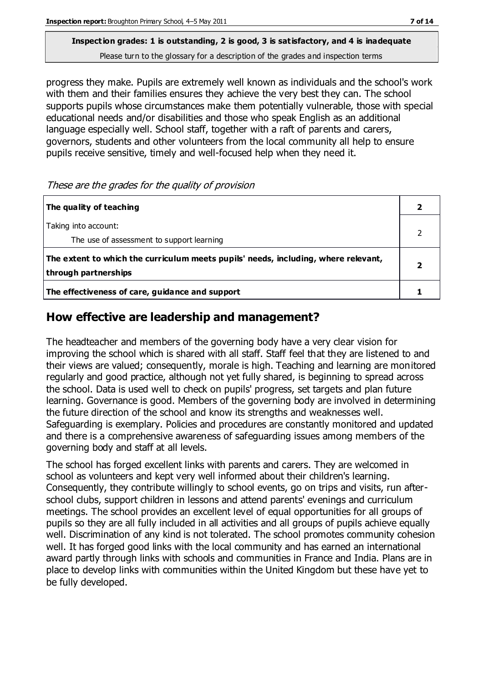Please turn to the glossary for a description of the grades and inspection terms

progress they make. Pupils are extremely well known as individuals and the school's work with them and their families ensures they achieve the very best they can. The school supports pupils whose circumstances make them potentially vulnerable, those with special educational needs and/or disabilities and those who speak English as an additional language especially well. School staff, together with a raft of parents and carers, governors, students and other volunteers from the local community all help to ensure pupils receive sensitive, timely and well-focused help when they need it.

#### These are the grades for the quality of provision

| The quality of teaching                                                                                    |  |
|------------------------------------------------------------------------------------------------------------|--|
| Taking into account:<br>The use of assessment to support learning                                          |  |
| The extent to which the curriculum meets pupils' needs, including, where relevant,<br>through partnerships |  |
| The effectiveness of care, guidance and support                                                            |  |

#### **How effective are leadership and management?**

The headteacher and members of the governing body have a very clear vision for improving the school which is shared with all staff. Staff feel that they are listened to and their views are valued; consequently, morale is high. Teaching and learning are monitored regularly and good practice, although not yet fully shared, is beginning to spread across the school. Data is used well to check on pupils' progress, set targets and plan future learning. Governance is good. Members of the governing body are involved in determining the future direction of the school and know its strengths and weaknesses well. Safeguarding is exemplary. Policies and procedures are constantly monitored and updated and there is a comprehensive awareness of safeguarding issues among members of the governing body and staff at all levels.

The school has forged excellent links with parents and carers. They are welcomed in school as volunteers and kept very well informed about their children's learning. Consequently, they contribute willingly to school events, go on trips and visits, run afterschool clubs, support children in lessons and attend parents' evenings and curriculum meetings. The school provides an excellent level of equal opportunities for all groups of pupils so they are all fully included in all activities and all groups of pupils achieve equally well. Discrimination of any kind is not tolerated. The school promotes community cohesion well. It has forged good links with the local community and has earned an international award partly through links with schools and communities in France and India. Plans are in place to develop links with communities within the United Kingdom but these have yet to be fully developed.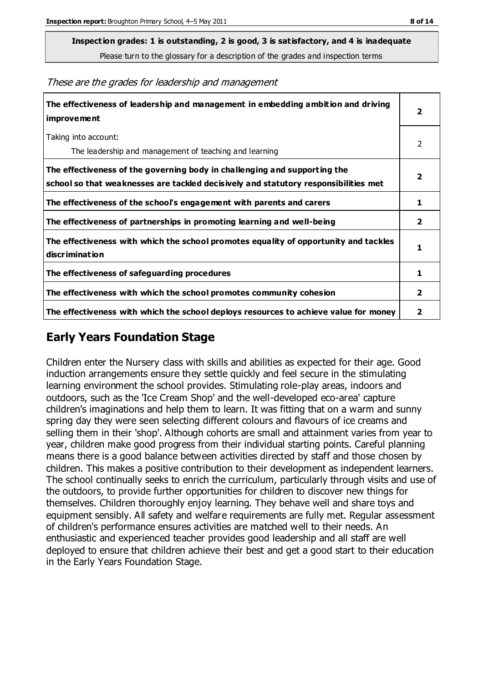Please turn to the glossary for a description of the grades and inspection terms

These are the grades for leadership and management

| The effectiveness of leadership and management in embedding ambition and driving<br>improvement                                                                  |                |
|------------------------------------------------------------------------------------------------------------------------------------------------------------------|----------------|
| Taking into account:<br>The leadership and management of teaching and learning                                                                                   | 2              |
| The effectiveness of the governing body in challenging and supporting the<br>school so that weaknesses are tackled decisively and statutory responsibilities met | 2              |
| The effectiveness of the school's engagement with parents and carers                                                                                             | 1              |
| The effectiveness of partnerships in promoting learning and well-being                                                                                           | 2              |
| The effectiveness with which the school promotes equality of opportunity and tackles<br>discrimination                                                           | 1              |
| The effectiveness of safeguarding procedures                                                                                                                     | 1              |
| The effectiveness with which the school promotes community cohesion                                                                                              | $\overline{2}$ |
| The effectiveness with which the school deploys resources to achieve value for money                                                                             | 2              |

#### **Early Years Foundation Stage**

Children enter the Nursery class with skills and abilities as expected for their age. Good induction arrangements ensure they settle quickly and feel secure in the stimulating learning environment the school provides. Stimulating role-play areas, indoors and outdoors, such as the 'Ice Cream Shop' and the well-developed eco-area' capture children's imaginations and help them to learn. It was fitting that on a warm and sunny spring day they were seen selecting different colours and flavours of ice creams and selling them in their 'shop'. Although cohorts are small and attainment varies from year to year, children make good progress from their individual starting points. Careful planning means there is a good balance between activities directed by staff and those chosen by children. This makes a positive contribution to their development as independent learners. The school continually seeks to enrich the curriculum, particularly through visits and use of the outdoors, to provide further opportunities for children to discover new things for themselves. Children thoroughly enjoy learning. They behave well and share toys and equipment sensibly. All safety and welfare requirements are fully met. Regular assessment of children's performance ensures activities are matched well to their needs. An enthusiastic and experienced teacher provides good leadership and all staff are well deployed to ensure that children achieve their best and get a good start to their education in the Early Years Foundation Stage.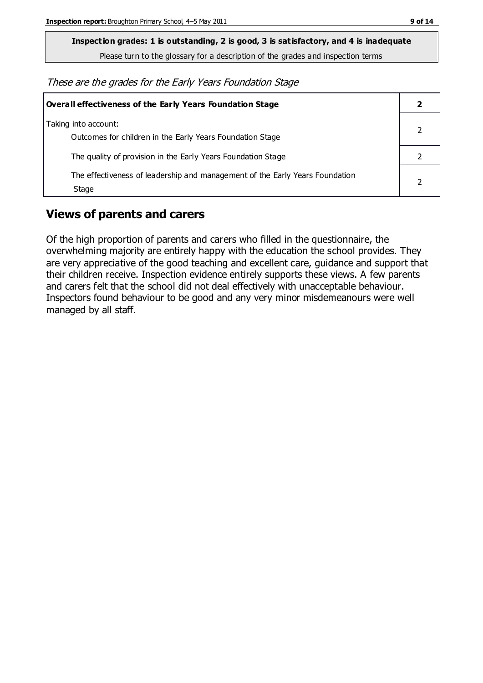Please turn to the glossary for a description of the grades and inspection terms

These are the grades for the Early Years Foundation Stage

| Overall effectiveness of the Early Years Foundation Stage                             |  |
|---------------------------------------------------------------------------------------|--|
| Taking into account:<br>Outcomes for children in the Early Years Foundation Stage     |  |
| The quality of provision in the Early Years Foundation Stage                          |  |
| The effectiveness of leadership and management of the Early Years Foundation<br>Stage |  |

#### **Views of parents and carers**

Of the high proportion of parents and carers who filled in the questionnaire, the overwhelming majority are entirely happy with the education the school provides. They are very appreciative of the good teaching and excellent care, guidance and support that their children receive. Inspection evidence entirely supports these views. A few parents and carers felt that the school did not deal effectively with unacceptable behaviour. Inspectors found behaviour to be good and any very minor misdemeanours were well managed by all staff.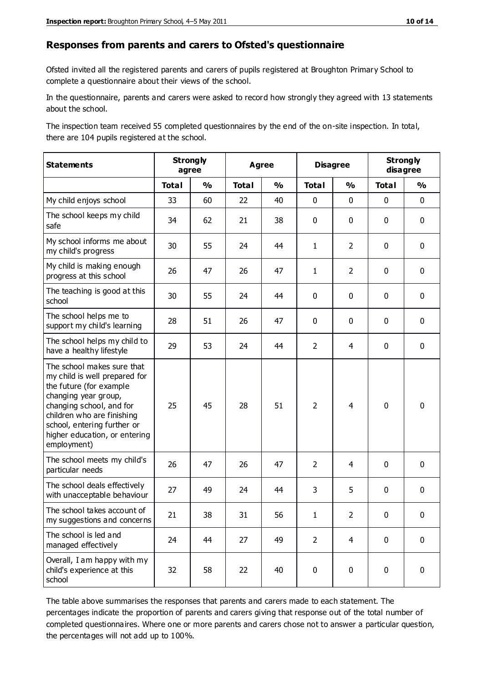#### **Responses from parents and carers to Ofsted's questionnaire**

Ofsted invited all the registered parents and carers of pupils registered at Broughton Primary School to complete a questionnaire about their views of the school.

In the questionnaire, parents and carers were asked to record how strongly they agreed with 13 statements about the school.

The inspection team received 55 completed questionnaires by the end of the on-site inspection. In total, there are 104 pupils registered at the school.

| <b>Statements</b>                                                                                                                                                                                                                                       | <b>Strongly</b><br>agree |               | <b>Agree</b> |               | <b>Disagree</b> |                | <b>Strongly</b><br>disagree |               |
|---------------------------------------------------------------------------------------------------------------------------------------------------------------------------------------------------------------------------------------------------------|--------------------------|---------------|--------------|---------------|-----------------|----------------|-----------------------------|---------------|
|                                                                                                                                                                                                                                                         | <b>Total</b>             | $\frac{0}{0}$ | <b>Total</b> | $\frac{0}{0}$ | <b>Total</b>    | $\frac{0}{0}$  | <b>Total</b>                | $\frac{0}{0}$ |
| My child enjoys school                                                                                                                                                                                                                                  | 33                       | 60            | 22           | 40            | 0               | $\mathbf 0$    | $\mathbf 0$                 | $\mathbf 0$   |
| The school keeps my child<br>safe                                                                                                                                                                                                                       | 34                       | 62            | 21           | 38            | 0               | 0              | $\mathbf 0$                 | $\mathbf 0$   |
| My school informs me about<br>my child's progress                                                                                                                                                                                                       | 30                       | 55            | 24           | 44            | $\mathbf{1}$    | $\overline{2}$ | $\mathbf 0$                 | $\mathbf 0$   |
| My child is making enough<br>progress at this school                                                                                                                                                                                                    | 26                       | 47            | 26           | 47            | $\mathbf{1}$    | $\overline{2}$ | 0                           | $\mathbf 0$   |
| The teaching is good at this<br>school                                                                                                                                                                                                                  | 30                       | 55            | 24           | 44            | 0               | 0              | $\mathbf{0}$                | $\mathbf 0$   |
| The school helps me to<br>support my child's learning                                                                                                                                                                                                   | 28                       | 51            | 26           | 47            | 0               | 0              | 0                           | $\mathbf 0$   |
| The school helps my child to<br>have a healthy lifestyle                                                                                                                                                                                                | 29                       | 53            | 24           | 44            | $\overline{2}$  | 4              | $\mathbf 0$                 | $\mathbf 0$   |
| The school makes sure that<br>my child is well prepared for<br>the future (for example<br>changing year group,<br>changing school, and for<br>children who are finishing<br>school, entering further or<br>higher education, or entering<br>employment) | 25                       | 45            | 28           | 51            | $\overline{2}$  | 4              | $\mathbf 0$                 | $\mathbf 0$   |
| The school meets my child's<br>particular needs                                                                                                                                                                                                         | 26                       | 47            | 26           | 47            | $\overline{2}$  | 4              | $\mathbf 0$                 | $\mathbf 0$   |
| The school deals effectively<br>with unacceptable behaviour                                                                                                                                                                                             | 27                       | 49            | 24           | 44            | 3               | 5              | 0                           | $\pmb{0}$     |
| The school takes account of<br>my suggestions and concerns                                                                                                                                                                                              | 21                       | 38            | 31           | 56            | 1               | $\overline{2}$ | 0                           | 0             |
| The school is led and<br>managed effectively                                                                                                                                                                                                            | 24                       | 44            | 27           | 49            | $\overline{2}$  | $\overline{4}$ | $\mathbf 0$                 | $\mathbf 0$   |
| Overall, I am happy with my<br>child's experience at this<br>school                                                                                                                                                                                     | 32                       | 58            | 22           | 40            | 0               | $\mathbf 0$    | $\mathbf 0$                 | $\mathbf 0$   |

The table above summarises the responses that parents and carers made to each statement. The percentages indicate the proportion of parents and carers giving that response out of the total number of completed questionnaires. Where one or more parents and carers chose not to answer a particular question, the percentages will not add up to 100%.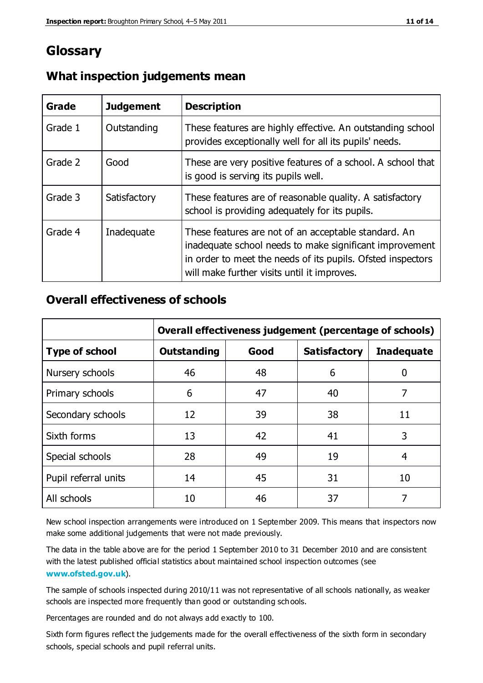#### **Glossary**

| Grade   | <b>Judgement</b> | <b>Description</b>                                                                                                                                                                                                            |
|---------|------------------|-------------------------------------------------------------------------------------------------------------------------------------------------------------------------------------------------------------------------------|
| Grade 1 | Outstanding      | These features are highly effective. An outstanding school<br>provides exceptionally well for all its pupils' needs.                                                                                                          |
| Grade 2 | Good             | These are very positive features of a school. A school that<br>is good is serving its pupils well.                                                                                                                            |
| Grade 3 | Satisfactory     | These features are of reasonable quality. A satisfactory<br>school is providing adequately for its pupils.                                                                                                                    |
| Grade 4 | Inadequate       | These features are not of an acceptable standard. An<br>inadequate school needs to make significant improvement<br>in order to meet the needs of its pupils. Ofsted inspectors<br>will make further visits until it improves. |

#### **What inspection judgements mean**

#### **Overall effectiveness of schools**

|                       | Overall effectiveness judgement (percentage of schools) |      |                     |                   |
|-----------------------|---------------------------------------------------------|------|---------------------|-------------------|
| <b>Type of school</b> | <b>Outstanding</b>                                      | Good | <b>Satisfactory</b> | <b>Inadequate</b> |
| Nursery schools       | 46                                                      | 48   | 6                   |                   |
| Primary schools       | 6                                                       | 47   | 40                  | 7                 |
| Secondary schools     | 12                                                      | 39   | 38                  | 11                |
| Sixth forms           | 13                                                      | 42   | 41                  | 3                 |
| Special schools       | 28                                                      | 49   | 19                  | 4                 |
| Pupil referral units  | 14                                                      | 45   | 31                  | 10                |
| All schools           | 10                                                      | 46   | 37                  |                   |

New school inspection arrangements were introduced on 1 September 2009. This means that inspectors now make some additional judgements that were not made previously.

The data in the table above are for the period 1 September 2010 to 31 December 2010 and are consistent with the latest published official statistics about maintained school inspection outcomes (see **[www.ofsted.gov.uk](http://www.ofsted.gov.uk/)**).

The sample of schools inspected during 2010/11 was not representative of all schools nationally, as weaker schools are inspected more frequently than good or outstanding schools.

Percentages are rounded and do not always add exactly to 100.

Sixth form figures reflect the judgements made for the overall effectiveness of the sixth form in secondary schools, special schools and pupil referral units.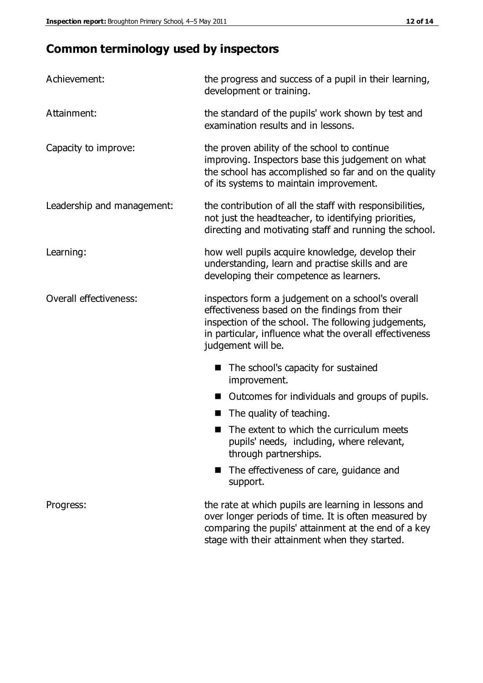## **Common terminology used by inspectors**

| Achievement:               | the progress and success of a pupil in their learning,<br>development or training.                                                                                                                                                          |  |
|----------------------------|---------------------------------------------------------------------------------------------------------------------------------------------------------------------------------------------------------------------------------------------|--|
| Attainment:                | the standard of the pupils' work shown by test and<br>examination results and in lessons.                                                                                                                                                   |  |
| Capacity to improve:       | the proven ability of the school to continue<br>improving. Inspectors base this judgement on what<br>the school has accomplished so far and on the quality<br>of its systems to maintain improvement.                                       |  |
| Leadership and management: | the contribution of all the staff with responsibilities,<br>not just the headteacher, to identifying priorities,<br>directing and motivating staff and running the school.                                                                  |  |
| Learning:                  | how well pupils acquire knowledge, develop their<br>understanding, learn and practise skills and are<br>developing their competence as learners.                                                                                            |  |
| Overall effectiveness:     | inspectors form a judgement on a school's overall<br>effectiveness based on the findings from their<br>inspection of the school. The following judgements,<br>in particular, influence what the overall effectiveness<br>judgement will be. |  |
|                            | The school's capacity for sustained<br>improvement.                                                                                                                                                                                         |  |
|                            | Outcomes for individuals and groups of pupils.                                                                                                                                                                                              |  |
|                            | The quality of teaching.                                                                                                                                                                                                                    |  |
|                            | The extent to which the curriculum meets<br>pupils' needs, including, where relevant,<br>through partnerships.                                                                                                                              |  |
|                            | The effectiveness of care, guidance and<br>support.                                                                                                                                                                                         |  |
| Progress:                  | the rate at which pupils are learning in lessons and<br>over longer periods of time. It is often measured by<br>comparing the pupils' attainment at the end of a key                                                                        |  |

stage with their attainment when they started.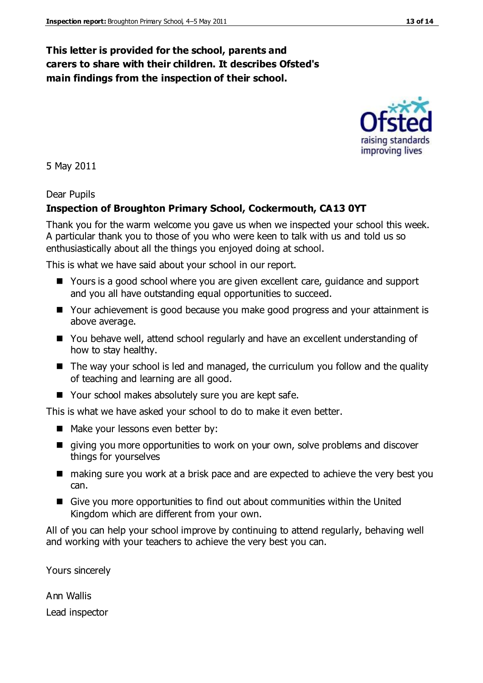#### **This letter is provided for the school, parents and carers to share with their children. It describes Ofsted's main findings from the inspection of their school.**

5 May 2011

#### Dear Pupils

#### **Inspection of Broughton Primary School, Cockermouth, CA13 0YT**

Thank you for the warm welcome you gave us when we inspected your school this week. A particular thank you to those of you who were keen to talk with us and told us so enthusiastically about all the things you enjoyed doing at school.

This is what we have said about your school in our report.

- Yours is a good school where you are given excellent care, guidance and support and you all have outstanding equal opportunities to succeed.
- Your achievement is good because you make good progress and your attainment is above average.
- You behave well, attend school regularly and have an excellent understanding of how to stay healthy.
- The way your school is led and managed, the curriculum you follow and the quality of teaching and learning are all good.
- Your school makes absolutely sure you are kept safe.

This is what we have asked your school to do to make it even better.

- Make your lessons even better by:
- **I** giving you more opportunities to work on your own, solve problems and discover things for yourselves
- making sure you work at a brisk pace and are expected to achieve the very best you can.
- Give you more opportunities to find out about communities within the United Kingdom which are different from your own.

All of you can help your school improve by continuing to attend regularly, behaving well and working with your teachers to achieve the very best you can.

Yours sincerely

Ann Wallis Lead inspector



improving lives